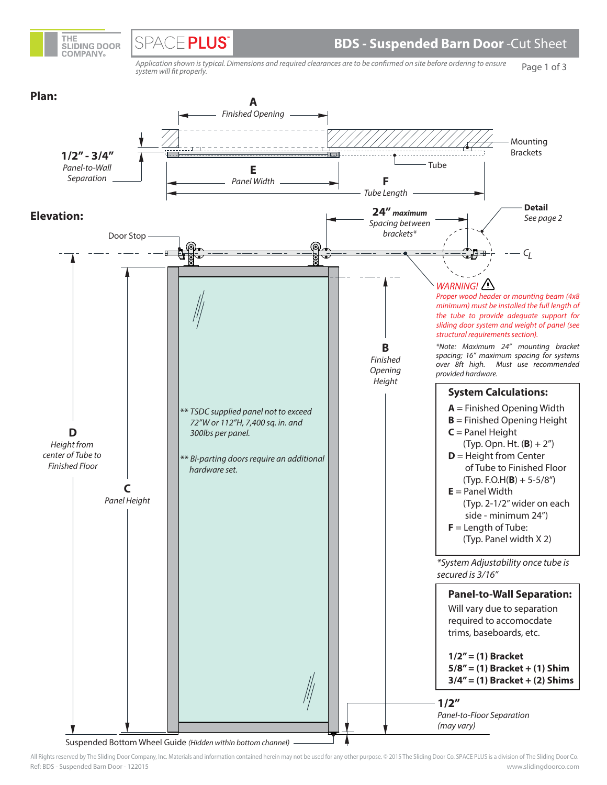

SPACE PLUS

Page 1 of 3 Application shown is typical. Dimensions and required clearances are to be confirmed on site before ordering to ensure system will fit properly.



Ref: BDS - Suspended Barn Door - 122015 All Rights reserved by The Sliding Door Company, Inc. Materials and information contained herein may not be used for any other purpose. © 2015 The Sliding Door Co. SPACE PLUS is a division of The Sliding Door Co. www.slidingdoorco.com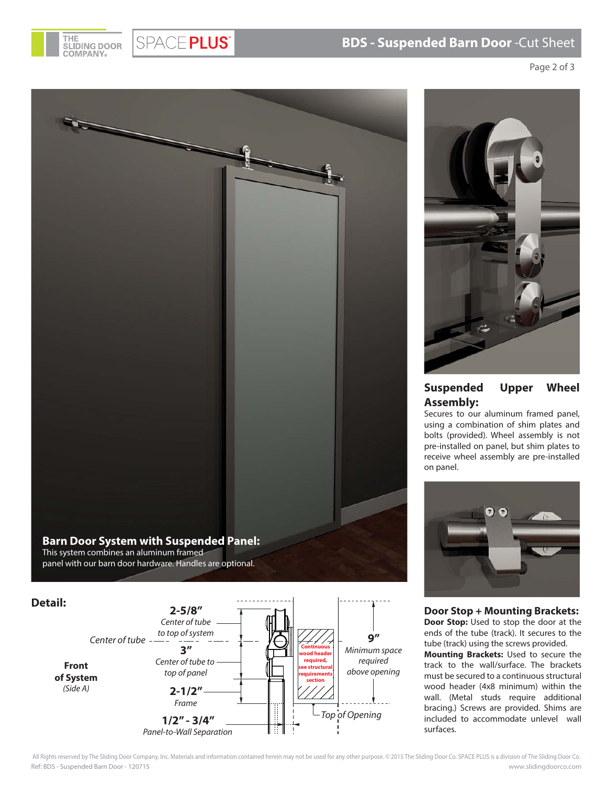

SPACE PLUS®

## **BDS - Suspended Barn Door** -Cut Sheet

Page 2 of 3



This system combines an aluminum framed panel with our barn door hardware. Handles are optional.





## **Suspended Upper Wheel Assembly:**

Secures to our aluminum framed panel, using a combination of shim plates and bolts (provided). Wheel assembly is not pre-installed on panel, but shim plates to receive wheel assembly are pre-installed on panel.



**Door Stop + Mounting Brackets: Door Stop:** Used to stop the door at the ends of the tube (track). It secures to the tube (track) using the screws provided.

**Mounting Brackets:** Used to secure the track to the wall/surface. The brackets must be secured to a continuous structural wood header (4x8 minimum) within the wall. (Metal studs require additional bracing.) Screws are provided. Shims are included to accommodate unlevel wall surfaces.